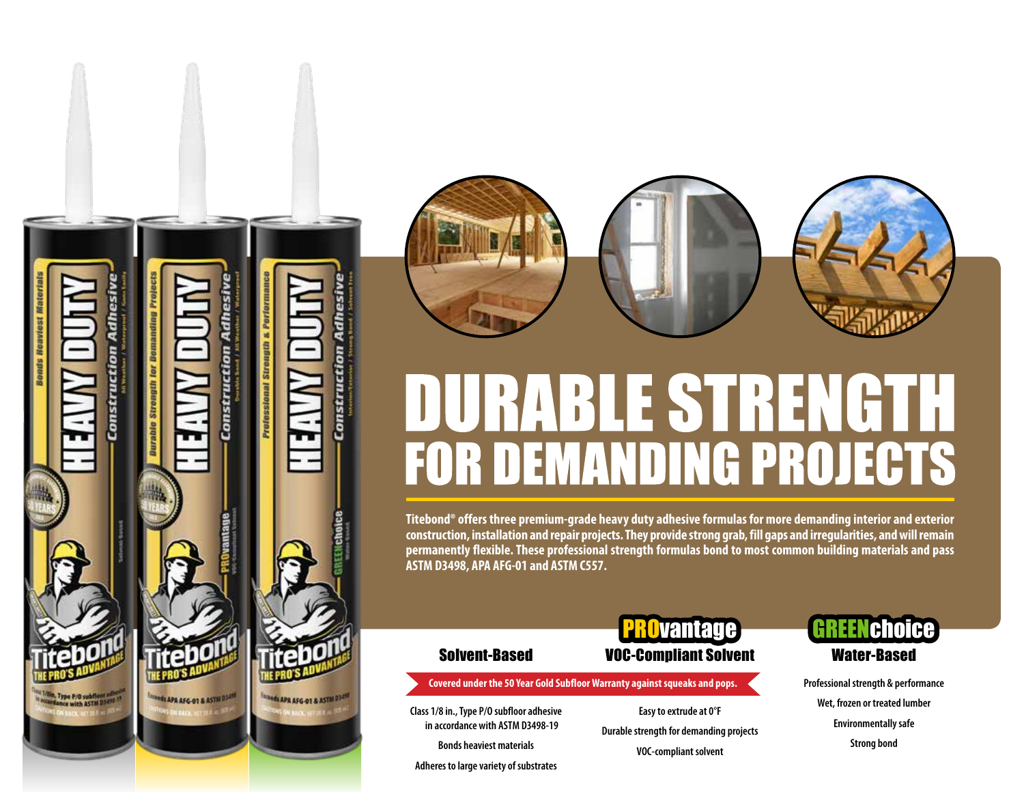



# **ABLE STRENGTH**  $\begin{array}{c} \text{ } \\ \text{ } \\ \text{ } \end{array}$ **FOR DEMANDING PROJECTS**

**Titebond® offers three premium-grade heavy duty adhesive formulas for more demanding interior and exterior construction, installation and repair projects. They provide strong grab, fill gaps and irregularities, and will remain permanently flexible. These professional strength formulas bond to most common building materials and pass ASTM D3498, APA AFG-01 and ASTM C557.**

## Solvent-Based VOC-Compliant Solvent

**Covered under the 50 Year Gold Subfloor Warranty against squeaks and pops.**

**Class 1/8 in., Type P/O subfloor adhesive in accordance with ASTM D3498-19**

**Bonds heaviest materials**

**Adheres to large variety of substrates**

**Easy to extrude at 0°F Durable strength for demanding projects VOC-compliant solvent**

**Puantage** 

### REENchoice Water-Based

**Professional strength & performance Wet, frozen or treated lumber Environmentally safe Strong bond**